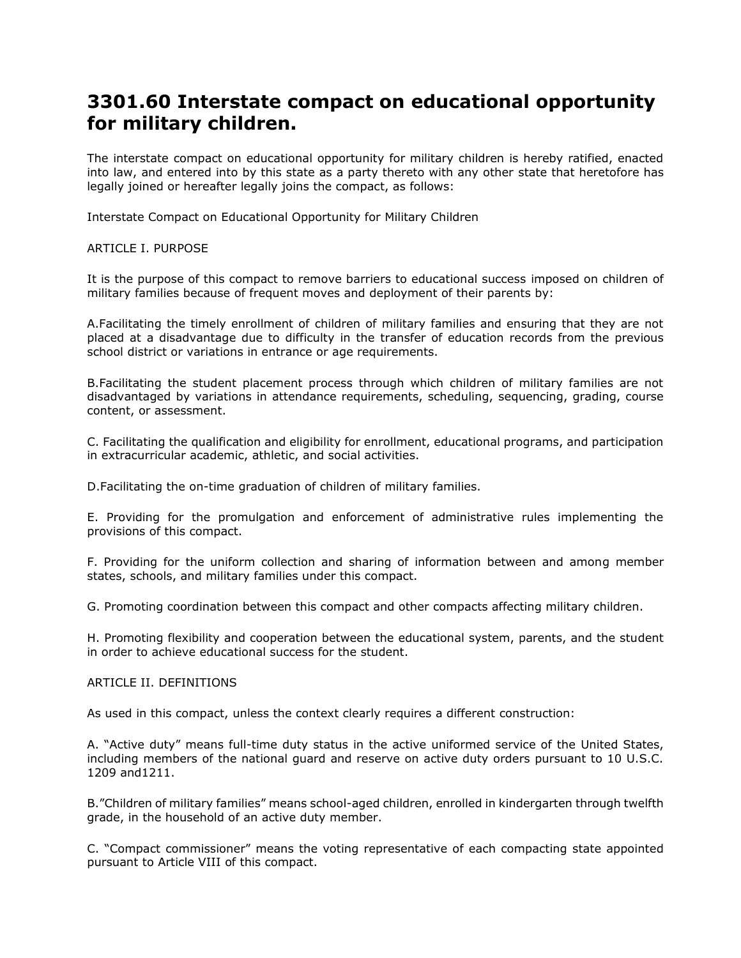# **3301.60 Interstate compact on educational opportunity for military children.**

The interstate compact on educational opportunity for military children is hereby ratified, enacted into law, and entered into by this state as a party thereto with any other state that heretofore has legally joined or hereafter legally joins the compact, as follows:

Interstate Compact on Educational Opportunity for Military Children

#### ARTICLE I. PURPOSE

It is the purpose of this compact to remove barriers to educational success imposed on children of military families because of frequent moves and deployment of their parents by:

A.Facilitating the timely enrollment of children of military families and ensuring that they are not placed at a disadvantage due to difficulty in the transfer of education records from the previous school district or variations in entrance or age requirements.

B.Facilitating the student placement process through which children of military families are not disadvantaged by variations in attendance requirements, scheduling, sequencing, grading, course content, or assessment.

C. Facilitating the qualification and eligibility for enrollment, educational programs, and participation in extracurricular academic, athletic, and social activities.

D.Facilitating the on-time graduation of children of military families.

E. Providing for the promulgation and enforcement of administrative rules implementing the provisions of this compact.

F. Providing for the uniform collection and sharing of information between and among member states, schools, and military families under this compact.

G. Promoting coordination between this compact and other compacts affecting military children.

H. Promoting flexibility and cooperation between the educational system, parents, and the student in order to achieve educational success for the student.

# ARTICLE II. DEFINITIONS

As used in this compact, unless the context clearly requires a different construction:

A. "Active duty" means full-time duty status in the active uniformed service of the United States, including members of the national guard and reserve on active duty orders pursuant to 10 U.S.C. 1209 and1211.

B."Children of military families" means school-aged children, enrolled in kindergarten through twelfth grade, in the household of an active duty member.

C. "Compact commissioner" means the voting representative of each compacting state appointed pursuant to Article VIII of this compact.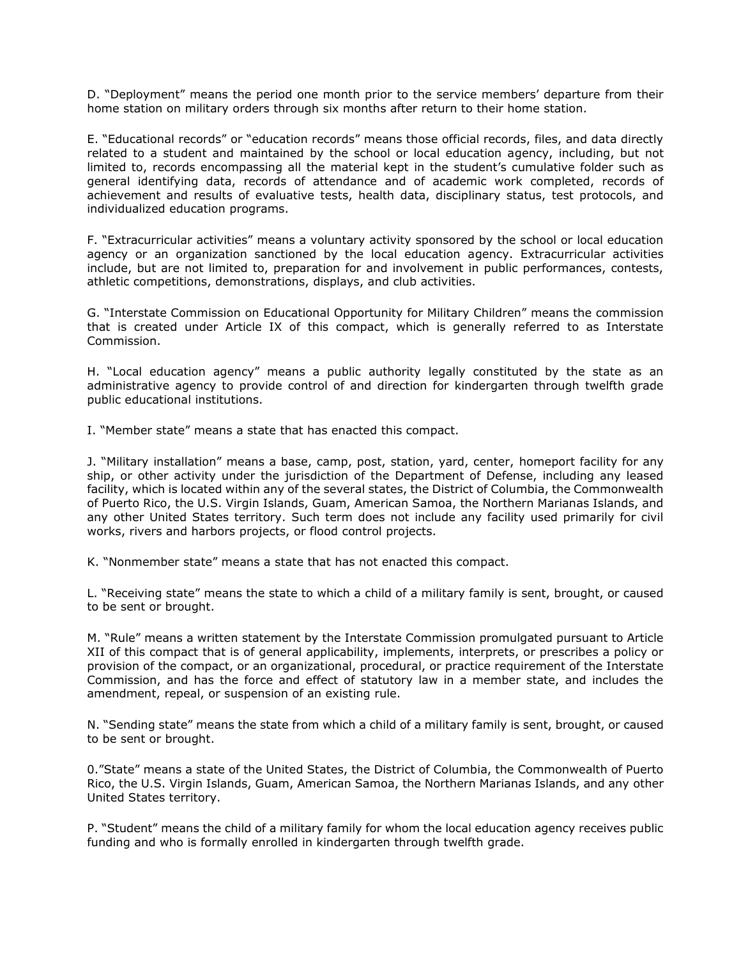D. "Deployment" means the period one month prior to the service members' departure from their home station on military orders through six months after return to their home station.

E. "Educational records" or "education records" means those official records, files, and data directly related to a student and maintained by the school or local education agency, including, but not limited to, records encompassing all the material kept in the student's cumulative folder such as general identifying data, records of attendance and of academic work completed, records of achievement and results of evaluative tests, health data, disciplinary status, test protocols, and individualized education programs.

F. "Extracurricular activities" means a voluntary activity sponsored by the school or local education agency or an organization sanctioned by the local education agency. Extracurricular activities include, but are not limited to, preparation for and involvement in public performances, contests, athletic competitions, demonstrations, displays, and club activities.

G. "Interstate Commission on Educational Opportunity for Military Children" means the commission that is created under Article IX of this compact, which is generally referred to as Interstate Commission.

H. "Local education agency" means a public authority legally constituted by the state as an administrative agency to provide control of and direction for kindergarten through twelfth grade public educational institutions.

I. "Member state" means a state that has enacted this compact.

J. "Military installation" means a base, camp, post, station, yard, center, homeport facility for any ship, or other activity under the jurisdiction of the Department of Defense, including any leased facility, which is located within any of the several states, the District of Columbia, the Commonwealth of Puerto Rico, the U.S. Virgin Islands, Guam, American Samoa, the Northern Marianas Islands, and any other United States territory. Such term does not include any facility used primarily for civil works, rivers and harbors projects, or flood control projects.

K. "Nonmember state" means a state that has not enacted this compact.

L. "Receiving state" means the state to which a child of a military family is sent, brought, or caused to be sent or brought.

M. "Rule" means a written statement by the Interstate Commission promulgated pursuant to Article XII of this compact that is of general applicability, implements, interprets, or prescribes a policy or provision of the compact, or an organizational, procedural, or practice requirement of the Interstate Commission, and has the force and effect of statutory law in a member state, and includes the amendment, repeal, or suspension of an existing rule.

N. "Sending state" means the state from which a child of a military family is sent, brought, or caused to be sent or brought.

0."State" means a state of the United States, the District of Columbia, the Commonwealth of Puerto Rico, the U.S. Virgin Islands, Guam, American Samoa, the Northern Marianas Islands, and any other United States territory.

P. "Student" means the child of a military family for whom the local education agency receives public funding and who is formally enrolled in kindergarten through twelfth grade.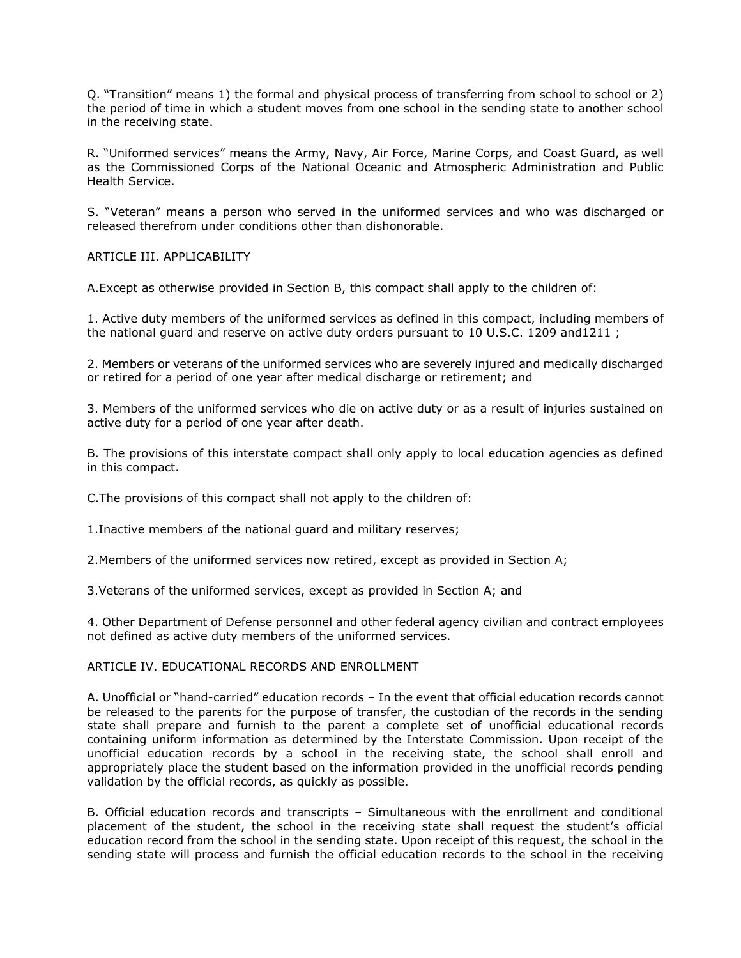Q. "Transition" means 1) the formal and physical process of transferring from school to school or 2) the period of time in which a student moves from one school in the sending state to another school in the receiving state.

R. "Uniformed services" means the Army, Navy, Air Force, Marine Corps, and Coast Guard, as well as the Commissioned Corps of the National Oceanic and Atmospheric Administration and Public Health Service.

S. "Veteran" means a person who served in the uniformed services and who was discharged or released therefrom under conditions other than dishonorable.

# ARTICLE III. APPLICABILITY

A.Except as otherwise provided in Section B, this compact shall apply to the children of:

1. Active duty members of the uniformed services as defined in this compact, including members of the national guard and reserve on active duty orders pursuant to 10 U.S.C. 1209 and1211 ;

2. Members or veterans of the uniformed services who are severely injured and medically discharged or retired for a period of one year after medical discharge or retirement; and

3. Members of the uniformed services who die on active duty or as a result of injuries sustained on active duty for a period of one year after death.

B. The provisions of this interstate compact shall only apply to local education agencies as defined in this compact.

C.The provisions of this compact shall not apply to the children of:

1.Inactive members of the national guard and military reserves;

2.Members of the uniformed services now retired, except as provided in Section A;

3.Veterans of the uniformed services, except as provided in Section A; and

4. Other Department of Defense personnel and other federal agency civilian and contract employees not defined as active duty members of the uniformed services.

# ARTICLE IV. EDUCATIONAL RECORDS AND ENROLLMENT

A. Unofficial or "hand-carried" education records – In the event that official education records cannot be released to the parents for the purpose of transfer, the custodian of the records in the sending state shall prepare and furnish to the parent a complete set of unofficial educational records containing uniform information as determined by the Interstate Commission. Upon receipt of the unofficial education records by a school in the receiving state, the school shall enroll and appropriately place the student based on the information provided in the unofficial records pending validation by the official records, as quickly as possible.

B. Official education records and transcripts – Simultaneous with the enrollment and conditional placement of the student, the school in the receiving state shall request the student's official education record from the school in the sending state. Upon receipt of this request, the school in the sending state will process and furnish the official education records to the school in the receiving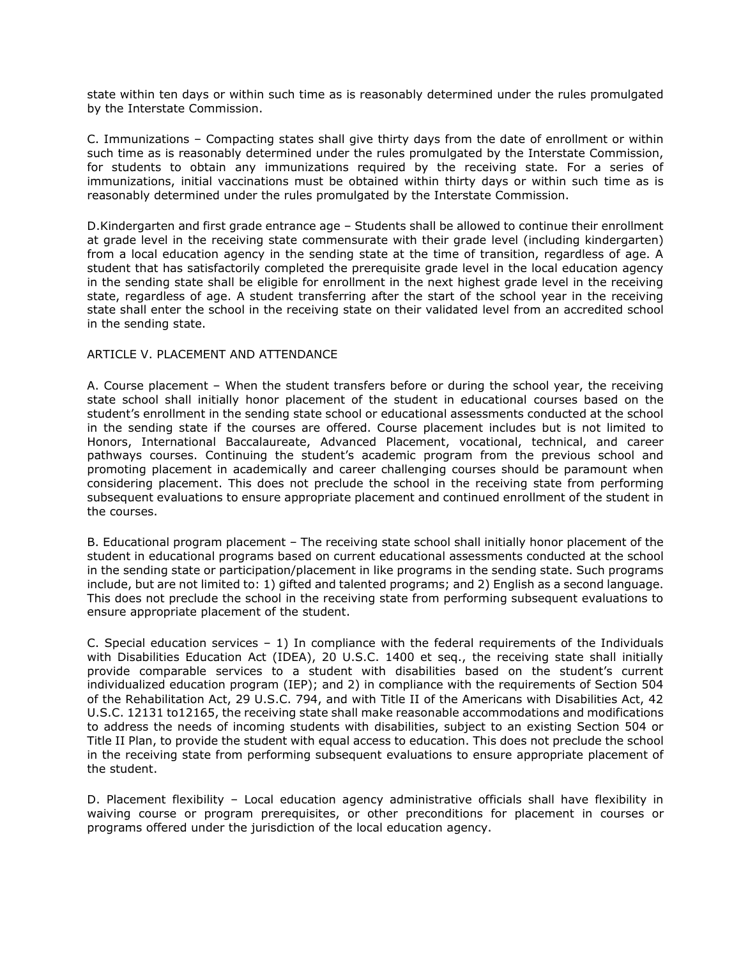state within ten days or within such time as is reasonably determined under the rules promulgated by the Interstate Commission.

C. Immunizations – Compacting states shall give thirty days from the date of enrollment or within such time as is reasonably determined under the rules promulgated by the Interstate Commission, for students to obtain any immunizations required by the receiving state. For a series of immunizations, initial vaccinations must be obtained within thirty days or within such time as is reasonably determined under the rules promulgated by the Interstate Commission.

D.Kindergarten and first grade entrance age – Students shall be allowed to continue their enrollment at grade level in the receiving state commensurate with their grade level (including kindergarten) from a local education agency in the sending state at the time of transition, regardless of age. A student that has satisfactorily completed the prerequisite grade level in the local education agency in the sending state shall be eligible for enrollment in the next highest grade level in the receiving state, regardless of age. A student transferring after the start of the school year in the receiving state shall enter the school in the receiving state on their validated level from an accredited school in the sending state.

### ARTICLE V. PLACEMENT AND ATTENDANCE

A. Course placement – When the student transfers before or during the school year, the receiving state school shall initially honor placement of the student in educational courses based on the student's enrollment in the sending state school or educational assessments conducted at the school in the sending state if the courses are offered. Course placement includes but is not limited to Honors, International Baccalaureate, Advanced Placement, vocational, technical, and career pathways courses. Continuing the student's academic program from the previous school and promoting placement in academically and career challenging courses should be paramount when considering placement. This does not preclude the school in the receiving state from performing subsequent evaluations to ensure appropriate placement and continued enrollment of the student in the courses.

B. Educational program placement – The receiving state school shall initially honor placement of the student in educational programs based on current educational assessments conducted at the school in the sending state or participation/placement in like programs in the sending state. Such programs include, but are not limited to: 1) gifted and talented programs; and 2) English as a second language. This does not preclude the school in the receiving state from performing subsequent evaluations to ensure appropriate placement of the student.

C. Special education services  $-1$ ) In compliance with the federal requirements of the Individuals with Disabilities Education Act (IDEA), 20 U.S.C. 1400 et seq., the receiving state shall initially provide comparable services to a student with disabilities based on the student's current individualized education program (IEP); and 2) in compliance with the requirements of Section 504 of the Rehabilitation Act, 29 U.S.C. 794, and with Title II of the Americans with Disabilities Act, 42 U.S.C. 12131 to12165, the receiving state shall make reasonable accommodations and modifications to address the needs of incoming students with disabilities, subject to an existing Section 504 or Title II Plan, to provide the student with equal access to education. This does not preclude the school in the receiving state from performing subsequent evaluations to ensure appropriate placement of the student.

D. Placement flexibility – Local education agency administrative officials shall have flexibility in waiving course or program prerequisites, or other preconditions for placement in courses or programs offered under the jurisdiction of the local education agency.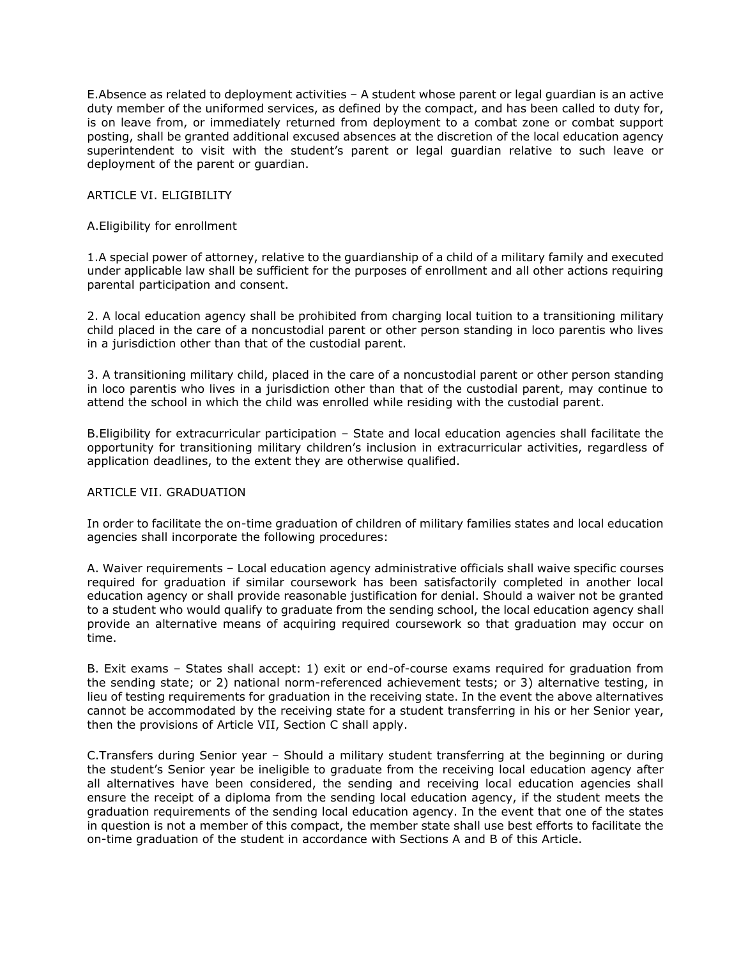E.Absence as related to deployment activities – A student whose parent or legal guardian is an active duty member of the uniformed services, as defined by the compact, and has been called to duty for, is on leave from, or immediately returned from deployment to a combat zone or combat support posting, shall be granted additional excused absences at the discretion of the local education agency superintendent to visit with the student's parent or legal guardian relative to such leave or deployment of the parent or guardian.

## ARTICLE VI. ELIGIBILITY

## A.Eligibility for enrollment

1.A special power of attorney, relative to the guardianship of a child of a military family and executed under applicable law shall be sufficient for the purposes of enrollment and all other actions requiring parental participation and consent.

2. A local education agency shall be prohibited from charging local tuition to a transitioning military child placed in the care of a noncustodial parent or other person standing in loco parentis who lives in a jurisdiction other than that of the custodial parent.

3. A transitioning military child, placed in the care of a noncustodial parent or other person standing in loco parentis who lives in a jurisdiction other than that of the custodial parent, may continue to attend the school in which the child was enrolled while residing with the custodial parent.

B.Eligibility for extracurricular participation – State and local education agencies shall facilitate the opportunity for transitioning military children's inclusion in extracurricular activities, regardless of application deadlines, to the extent they are otherwise qualified.

### ARTICLE VII. GRADUATION

In order to facilitate the on-time graduation of children of military families states and local education agencies shall incorporate the following procedures:

A. Waiver requirements – Local education agency administrative officials shall waive specific courses required for graduation if similar coursework has been satisfactorily completed in another local education agency or shall provide reasonable justification for denial. Should a waiver not be granted to a student who would qualify to graduate from the sending school, the local education agency shall provide an alternative means of acquiring required coursework so that graduation may occur on time.

B. Exit exams – States shall accept: 1) exit or end-of-course exams required for graduation from the sending state; or 2) national norm-referenced achievement tests; or 3) alternative testing, in lieu of testing requirements for graduation in the receiving state. In the event the above alternatives cannot be accommodated by the receiving state for a student transferring in his or her Senior year, then the provisions of Article VII, Section C shall apply.

C.Transfers during Senior year – Should a military student transferring at the beginning or during the student's Senior year be ineligible to graduate from the receiving local education agency after all alternatives have been considered, the sending and receiving local education agencies shall ensure the receipt of a diploma from the sending local education agency, if the student meets the graduation requirements of the sending local education agency. In the event that one of the states in question is not a member of this compact, the member state shall use best efforts to facilitate the on-time graduation of the student in accordance with Sections A and B of this Article.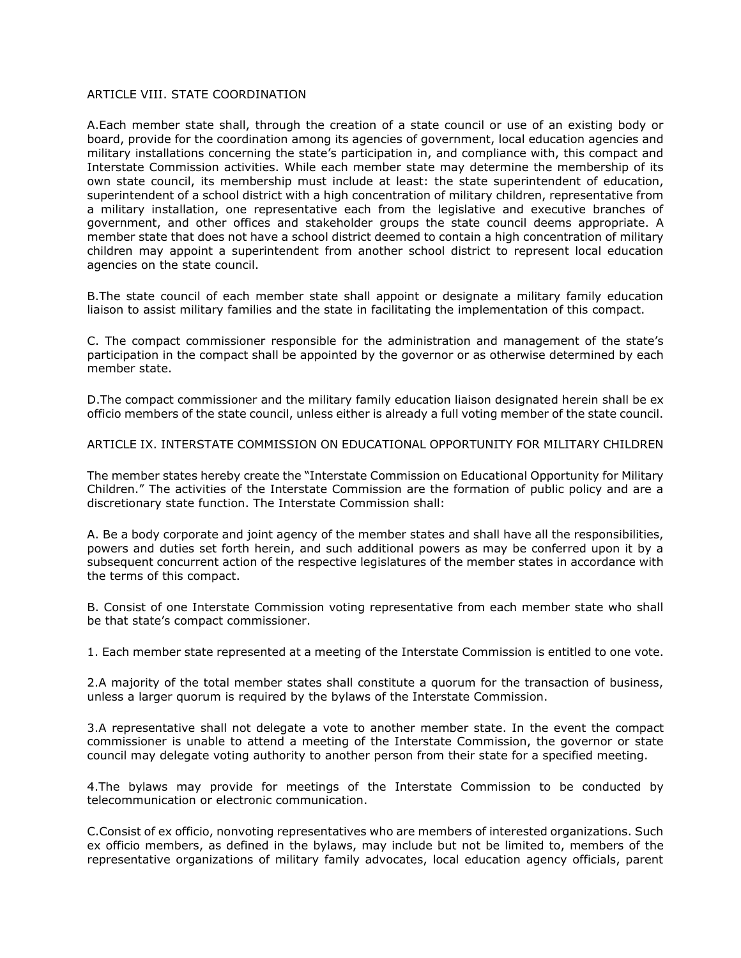# ARTICLE VIII. STATE COORDINATION

A.Each member state shall, through the creation of a state council or use of an existing body or board, provide for the coordination among its agencies of government, local education agencies and military installations concerning the state's participation in, and compliance with, this compact and Interstate Commission activities. While each member state may determine the membership of its own state council, its membership must include at least: the state superintendent of education, superintendent of a school district with a high concentration of military children, representative from a military installation, one representative each from the legislative and executive branches of government, and other offices and stakeholder groups the state council deems appropriate. A member state that does not have a school district deemed to contain a high concentration of military children may appoint a superintendent from another school district to represent local education agencies on the state council.

B.The state council of each member state shall appoint or designate a military family education liaison to assist military families and the state in facilitating the implementation of this compact.

C. The compact commissioner responsible for the administration and management of the state's participation in the compact shall be appointed by the governor or as otherwise determined by each member state.

D.The compact commissioner and the military family education liaison designated herein shall be ex officio members of the state council, unless either is already a full voting member of the state council.

ARTICLE IX. INTERSTATE COMMISSION ON EDUCATIONAL OPPORTUNITY FOR MILITARY CHILDREN

The member states hereby create the "Interstate Commission on Educational Opportunity for Military Children." The activities of the Interstate Commission are the formation of public policy and are a discretionary state function. The Interstate Commission shall:

A. Be a body corporate and joint agency of the member states and shall have all the responsibilities, powers and duties set forth herein, and such additional powers as may be conferred upon it by a subsequent concurrent action of the respective legislatures of the member states in accordance with the terms of this compact.

B. Consist of one Interstate Commission voting representative from each member state who shall be that state's compact commissioner.

1. Each member state represented at a meeting of the Interstate Commission is entitled to one vote.

2.A majority of the total member states shall constitute a quorum for the transaction of business, unless a larger quorum is required by the bylaws of the Interstate Commission.

3.A representative shall not delegate a vote to another member state. In the event the compact commissioner is unable to attend a meeting of the Interstate Commission, the governor or state council may delegate voting authority to another person from their state for a specified meeting.

4.The bylaws may provide for meetings of the Interstate Commission to be conducted by telecommunication or electronic communication.

C.Consist of ex officio, nonvoting representatives who are members of interested organizations. Such ex officio members, as defined in the bylaws, may include but not be limited to, members of the representative organizations of military family advocates, local education agency officials, parent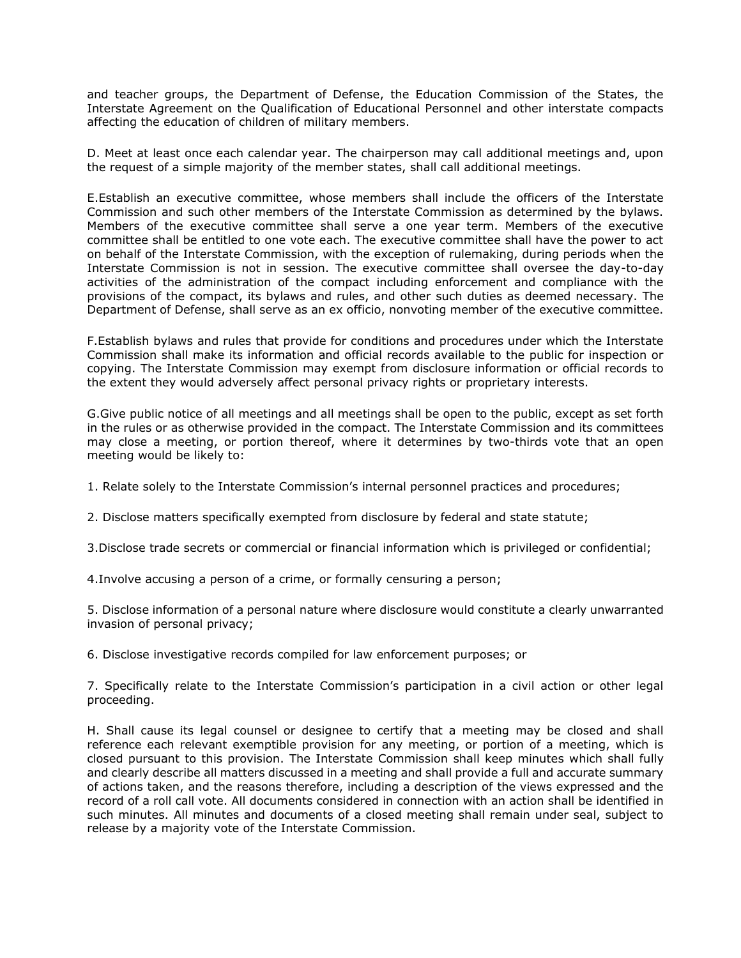and teacher groups, the Department of Defense, the Education Commission of the States, the Interstate Agreement on the Qualification of Educational Personnel and other interstate compacts affecting the education of children of military members.

D. Meet at least once each calendar year. The chairperson may call additional meetings and, upon the request of a simple majority of the member states, shall call additional meetings.

E.Establish an executive committee, whose members shall include the officers of the Interstate Commission and such other members of the Interstate Commission as determined by the bylaws. Members of the executive committee shall serve a one year term. Members of the executive committee shall be entitled to one vote each. The executive committee shall have the power to act on behalf of the Interstate Commission, with the exception of rulemaking, during periods when the Interstate Commission is not in session. The executive committee shall oversee the day-to-day activities of the administration of the compact including enforcement and compliance with the provisions of the compact, its bylaws and rules, and other such duties as deemed necessary. The Department of Defense, shall serve as an ex officio, nonvoting member of the executive committee.

F.Establish bylaws and rules that provide for conditions and procedures under which the Interstate Commission shall make its information and official records available to the public for inspection or copying. The Interstate Commission may exempt from disclosure information or official records to the extent they would adversely affect personal privacy rights or proprietary interests.

G.Give public notice of all meetings and all meetings shall be open to the public, except as set forth in the rules or as otherwise provided in the compact. The Interstate Commission and its committees may close a meeting, or portion thereof, where it determines by two-thirds vote that an open meeting would be likely to:

1. Relate solely to the Interstate Commission's internal personnel practices and procedures;

2. Disclose matters specifically exempted from disclosure by federal and state statute;

3.Disclose trade secrets or commercial or financial information which is privileged or confidential;

4.Involve accusing a person of a crime, or formally censuring a person;

5. Disclose information of a personal nature where disclosure would constitute a clearly unwarranted invasion of personal privacy;

6. Disclose investigative records compiled for law enforcement purposes; or

7. Specifically relate to the Interstate Commission's participation in a civil action or other legal proceeding.

H. Shall cause its legal counsel or designee to certify that a meeting may be closed and shall reference each relevant exemptible provision for any meeting, or portion of a meeting, which is closed pursuant to this provision. The Interstate Commission shall keep minutes which shall fully and clearly describe all matters discussed in a meeting and shall provide a full and accurate summary of actions taken, and the reasons therefore, including a description of the views expressed and the record of a roll call vote. All documents considered in connection with an action shall be identified in such minutes. All minutes and documents of a closed meeting shall remain under seal, subject to release by a majority vote of the Interstate Commission.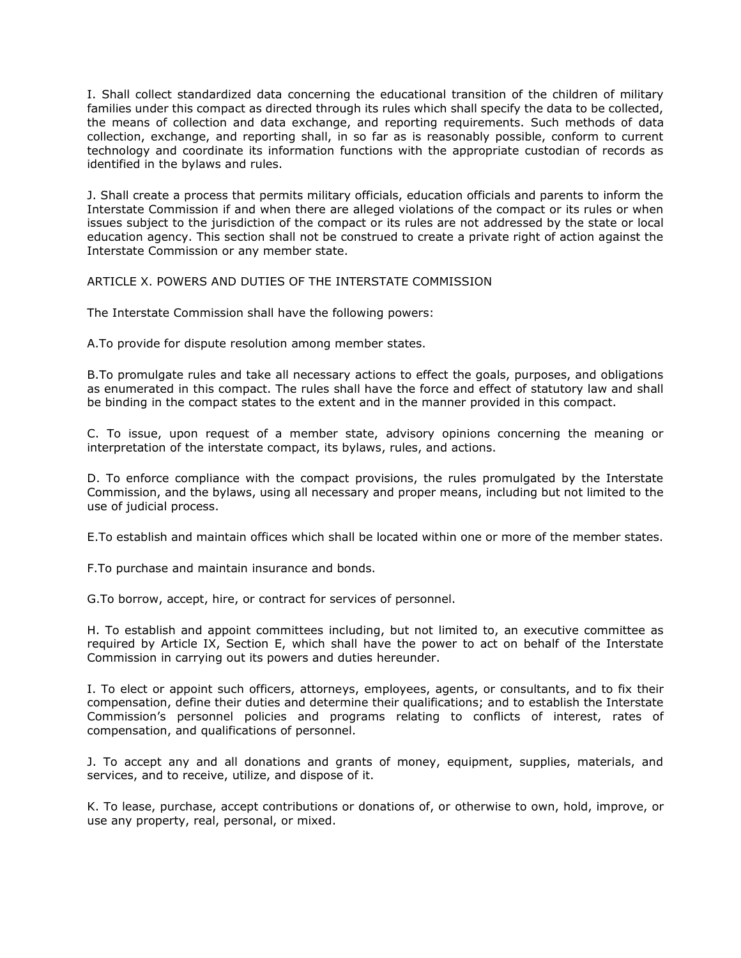I. Shall collect standardized data concerning the educational transition of the children of military families under this compact as directed through its rules which shall specify the data to be collected, the means of collection and data exchange, and reporting requirements. Such methods of data collection, exchange, and reporting shall, in so far as is reasonably possible, conform to current technology and coordinate its information functions with the appropriate custodian of records as identified in the bylaws and rules.

J. Shall create a process that permits military officials, education officials and parents to inform the Interstate Commission if and when there are alleged violations of the compact or its rules or when issues subject to the jurisdiction of the compact or its rules are not addressed by the state or local education agency. This section shall not be construed to create a private right of action against the Interstate Commission or any member state.

ARTICLE X. POWERS AND DUTIES OF THE INTERSTATE COMMISSION

The Interstate Commission shall have the following powers:

A.To provide for dispute resolution among member states.

B.To promulgate rules and take all necessary actions to effect the goals, purposes, and obligations as enumerated in this compact. The rules shall have the force and effect of statutory law and shall be binding in the compact states to the extent and in the manner provided in this compact.

C. To issue, upon request of a member state, advisory opinions concerning the meaning or interpretation of the interstate compact, its bylaws, rules, and actions.

D. To enforce compliance with the compact provisions, the rules promulgated by the Interstate Commission, and the bylaws, using all necessary and proper means, including but not limited to the use of judicial process.

E.To establish and maintain offices which shall be located within one or more of the member states.

F.To purchase and maintain insurance and bonds.

G.To borrow, accept, hire, or contract for services of personnel.

H. To establish and appoint committees including, but not limited to, an executive committee as required by Article IX, Section E, which shall have the power to act on behalf of the Interstate Commission in carrying out its powers and duties hereunder.

I. To elect or appoint such officers, attorneys, employees, agents, or consultants, and to fix their compensation, define their duties and determine their qualifications; and to establish the Interstate Commission's personnel policies and programs relating to conflicts of interest, rates of compensation, and qualifications of personnel.

J. To accept any and all donations and grants of money, equipment, supplies, materials, and services, and to receive, utilize, and dispose of it.

K. To lease, purchase, accept contributions or donations of, or otherwise to own, hold, improve, or use any property, real, personal, or mixed.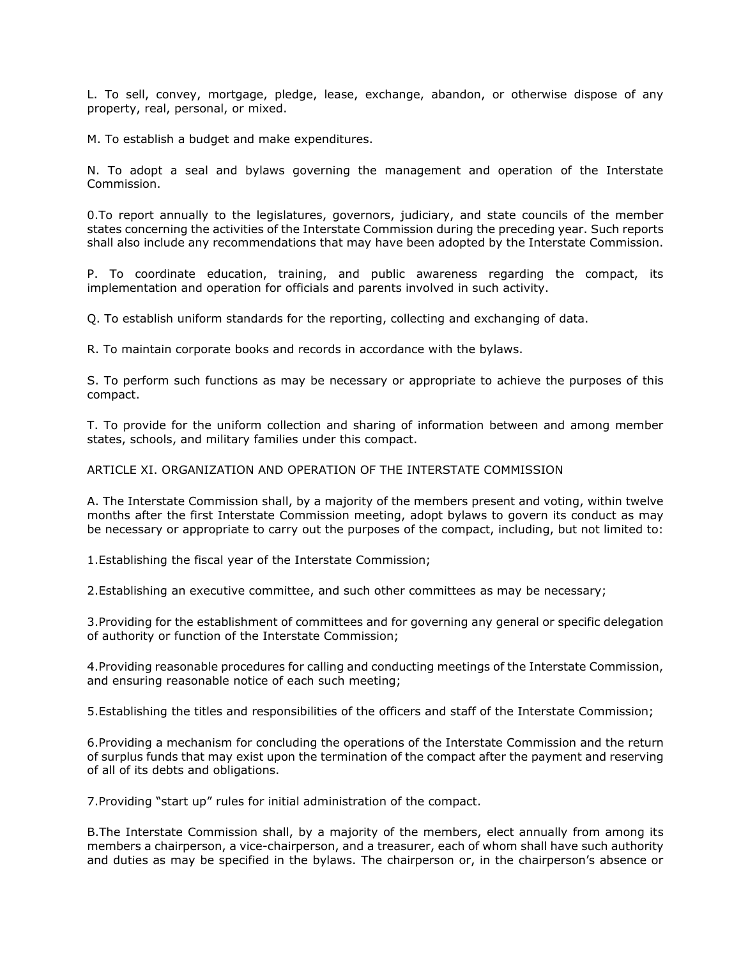L. To sell, convey, mortgage, pledge, lease, exchange, abandon, or otherwise dispose of any property, real, personal, or mixed.

M. To establish a budget and make expenditures.

N. To adopt a seal and bylaws governing the management and operation of the Interstate Commission.

0.To report annually to the legislatures, governors, judiciary, and state councils of the member states concerning the activities of the Interstate Commission during the preceding year. Such reports shall also include any recommendations that may have been adopted by the Interstate Commission.

P. To coordinate education, training, and public awareness regarding the compact, its implementation and operation for officials and parents involved in such activity.

Q. To establish uniform standards for the reporting, collecting and exchanging of data.

R. To maintain corporate books and records in accordance with the bylaws.

S. To perform such functions as may be necessary or appropriate to achieve the purposes of this compact.

T. To provide for the uniform collection and sharing of information between and among member states, schools, and military families under this compact.

ARTICLE XI. ORGANIZATION AND OPERATION OF THE INTERSTATE COMMISSION

A. The Interstate Commission shall, by a majority of the members present and voting, within twelve months after the first Interstate Commission meeting, adopt bylaws to govern its conduct as may be necessary or appropriate to carry out the purposes of the compact, including, but not limited to:

1.Establishing the fiscal year of the Interstate Commission;

2.Establishing an executive committee, and such other committees as may be necessary;

3.Providing for the establishment of committees and for governing any general or specific delegation of authority or function of the Interstate Commission;

4.Providing reasonable procedures for calling and conducting meetings of the Interstate Commission, and ensuring reasonable notice of each such meeting;

5.Establishing the titles and responsibilities of the officers and staff of the Interstate Commission;

6.Providing a mechanism for concluding the operations of the Interstate Commission and the return of surplus funds that may exist upon the termination of the compact after the payment and reserving of all of its debts and obligations.

7.Providing "start up" rules for initial administration of the compact.

B.The Interstate Commission shall, by a majority of the members, elect annually from among its members a chairperson, a vice-chairperson, and a treasurer, each of whom shall have such authority and duties as may be specified in the bylaws. The chairperson or, in the chairperson's absence or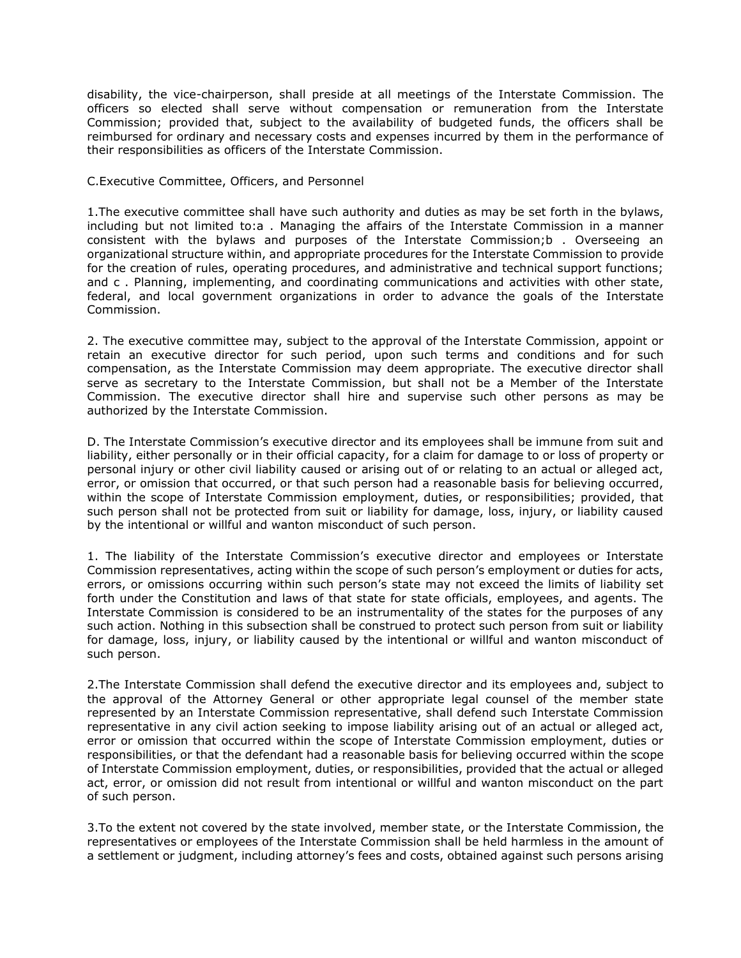disability, the vice-chairperson, shall preside at all meetings of the Interstate Commission. The officers so elected shall serve without compensation or remuneration from the Interstate Commission; provided that, subject to the availability of budgeted funds, the officers shall be reimbursed for ordinary and necessary costs and expenses incurred by them in the performance of their responsibilities as officers of the Interstate Commission.

C.Executive Committee, Officers, and Personnel

1.The executive committee shall have such authority and duties as may be set forth in the bylaws, including but not limited to:a . Managing the affairs of the Interstate Commission in a manner consistent with the bylaws and purposes of the Interstate Commission;b . Overseeing an organizational structure within, and appropriate procedures for the Interstate Commission to provide for the creation of rules, operating procedures, and administrative and technical support functions; and c . Planning, implementing, and coordinating communications and activities with other state, federal, and local government organizations in order to advance the goals of the Interstate Commission.

2. The executive committee may, subject to the approval of the Interstate Commission, appoint or retain an executive director for such period, upon such terms and conditions and for such compensation, as the Interstate Commission may deem appropriate. The executive director shall serve as secretary to the Interstate Commission, but shall not be a Member of the Interstate Commission. The executive director shall hire and supervise such other persons as may be authorized by the Interstate Commission.

D. The Interstate Commission's executive director and its employees shall be immune from suit and liability, either personally or in their official capacity, for a claim for damage to or loss of property or personal injury or other civil liability caused or arising out of or relating to an actual or alleged act, error, or omission that occurred, or that such person had a reasonable basis for believing occurred, within the scope of Interstate Commission employment, duties, or responsibilities; provided, that such person shall not be protected from suit or liability for damage, loss, injury, or liability caused by the intentional or willful and wanton misconduct of such person.

1. The liability of the Interstate Commission's executive director and employees or Interstate Commission representatives, acting within the scope of such person's employment or duties for acts, errors, or omissions occurring within such person's state may not exceed the limits of liability set forth under the Constitution and laws of that state for state officials, employees, and agents. The Interstate Commission is considered to be an instrumentality of the states for the purposes of any such action. Nothing in this subsection shall be construed to protect such person from suit or liability for damage, loss, injury, or liability caused by the intentional or willful and wanton misconduct of such person.

2.The Interstate Commission shall defend the executive director and its employees and, subject to the approval of the Attorney General or other appropriate legal counsel of the member state represented by an Interstate Commission representative, shall defend such Interstate Commission representative in any civil action seeking to impose liability arising out of an actual or alleged act, error or omission that occurred within the scope of Interstate Commission employment, duties or responsibilities, or that the defendant had a reasonable basis for believing occurred within the scope of Interstate Commission employment, duties, or responsibilities, provided that the actual or alleged act, error, or omission did not result from intentional or willful and wanton misconduct on the part of such person.

3.To the extent not covered by the state involved, member state, or the Interstate Commission, the representatives or employees of the Interstate Commission shall be held harmless in the amount of a settlement or judgment, including attorney's fees and costs, obtained against such persons arising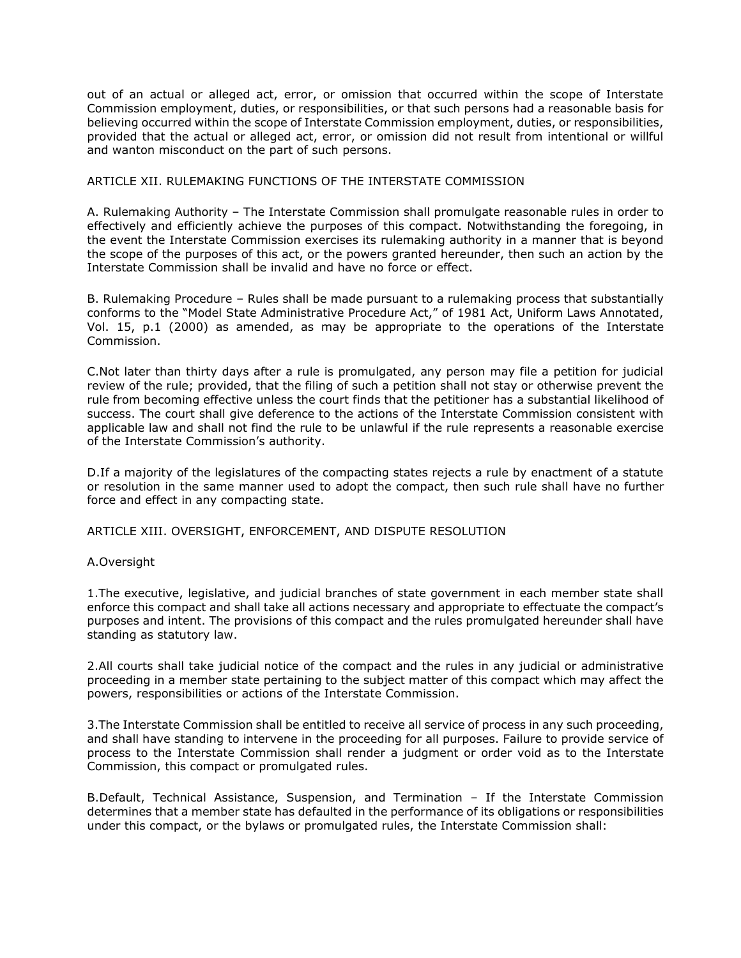out of an actual or alleged act, error, or omission that occurred within the scope of Interstate Commission employment, duties, or responsibilities, or that such persons had a reasonable basis for believing occurred within the scope of Interstate Commission employment, duties, or responsibilities, provided that the actual or alleged act, error, or omission did not result from intentional or willful and wanton misconduct on the part of such persons.

### ARTICLE XII. RULEMAKING FUNCTIONS OF THE INTERSTATE COMMISSION

A. Rulemaking Authority – The Interstate Commission shall promulgate reasonable rules in order to effectively and efficiently achieve the purposes of this compact. Notwithstanding the foregoing, in the event the Interstate Commission exercises its rulemaking authority in a manner that is beyond the scope of the purposes of this act, or the powers granted hereunder, then such an action by the Interstate Commission shall be invalid and have no force or effect.

B. Rulemaking Procedure – Rules shall be made pursuant to a rulemaking process that substantially conforms to the "Model State Administrative Procedure Act," of 1981 Act, Uniform Laws Annotated, Vol. 15, p.1 (2000) as amended, as may be appropriate to the operations of the Interstate Commission.

C.Not later than thirty days after a rule is promulgated, any person may file a petition for judicial review of the rule; provided, that the filing of such a petition shall not stay or otherwise prevent the rule from becoming effective unless the court finds that the petitioner has a substantial likelihood of success. The court shall give deference to the actions of the Interstate Commission consistent with applicable law and shall not find the rule to be unlawful if the rule represents a reasonable exercise of the Interstate Commission's authority.

D.If a majority of the legislatures of the compacting states rejects a rule by enactment of a statute or resolution in the same manner used to adopt the compact, then such rule shall have no further force and effect in any compacting state.

### ARTICLE XIII. OVERSIGHT, ENFORCEMENT, AND DISPUTE RESOLUTION

### A.Oversight

1.The executive, legislative, and judicial branches of state government in each member state shall enforce this compact and shall take all actions necessary and appropriate to effectuate the compact's purposes and intent. The provisions of this compact and the rules promulgated hereunder shall have standing as statutory law.

2.All courts shall take judicial notice of the compact and the rules in any judicial or administrative proceeding in a member state pertaining to the subject matter of this compact which may affect the powers, responsibilities or actions of the Interstate Commission.

3.The Interstate Commission shall be entitled to receive all service of process in any such proceeding, and shall have standing to intervene in the proceeding for all purposes. Failure to provide service of process to the Interstate Commission shall render a judgment or order void as to the Interstate Commission, this compact or promulgated rules.

B.Default, Technical Assistance, Suspension, and Termination – If the Interstate Commission determines that a member state has defaulted in the performance of its obligations or responsibilities under this compact, or the bylaws or promulgated rules, the Interstate Commission shall: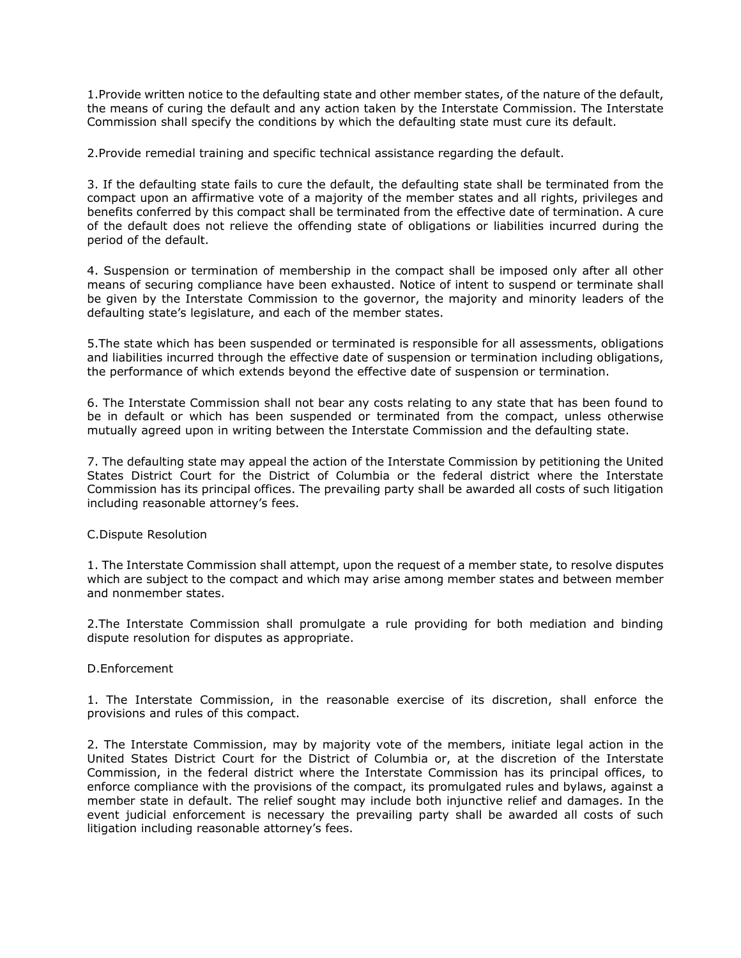1.Provide written notice to the defaulting state and other member states, of the nature of the default, the means of curing the default and any action taken by the Interstate Commission. The Interstate Commission shall specify the conditions by which the defaulting state must cure its default.

2.Provide remedial training and specific technical assistance regarding the default.

3. If the defaulting state fails to cure the default, the defaulting state shall be terminated from the compact upon an affirmative vote of a majority of the member states and all rights, privileges and benefits conferred by this compact shall be terminated from the effective date of termination. A cure of the default does not relieve the offending state of obligations or liabilities incurred during the period of the default.

4. Suspension or termination of membership in the compact shall be imposed only after all other means of securing compliance have been exhausted. Notice of intent to suspend or terminate shall be given by the Interstate Commission to the governor, the majority and minority leaders of the defaulting state's legislature, and each of the member states.

5.The state which has been suspended or terminated is responsible for all assessments, obligations and liabilities incurred through the effective date of suspension or termination including obligations, the performance of which extends beyond the effective date of suspension or termination.

6. The Interstate Commission shall not bear any costs relating to any state that has been found to be in default or which has been suspended or terminated from the compact, unless otherwise mutually agreed upon in writing between the Interstate Commission and the defaulting state.

7. The defaulting state may appeal the action of the Interstate Commission by petitioning the United States District Court for the District of Columbia or the federal district where the Interstate Commission has its principal offices. The prevailing party shall be awarded all costs of such litigation including reasonable attorney's fees.

### C.Dispute Resolution

1. The Interstate Commission shall attempt, upon the request of a member state, to resolve disputes which are subject to the compact and which may arise among member states and between member and nonmember states.

2.The Interstate Commission shall promulgate a rule providing for both mediation and binding dispute resolution for disputes as appropriate.

### D.Enforcement

1. The Interstate Commission, in the reasonable exercise of its discretion, shall enforce the provisions and rules of this compact.

2. The Interstate Commission, may by majority vote of the members, initiate legal action in the United States District Court for the District of Columbia or, at the discretion of the Interstate Commission, in the federal district where the Interstate Commission has its principal offices, to enforce compliance with the provisions of the compact, its promulgated rules and bylaws, against a member state in default. The relief sought may include both injunctive relief and damages. In the event judicial enforcement is necessary the prevailing party shall be awarded all costs of such litigation including reasonable attorney's fees.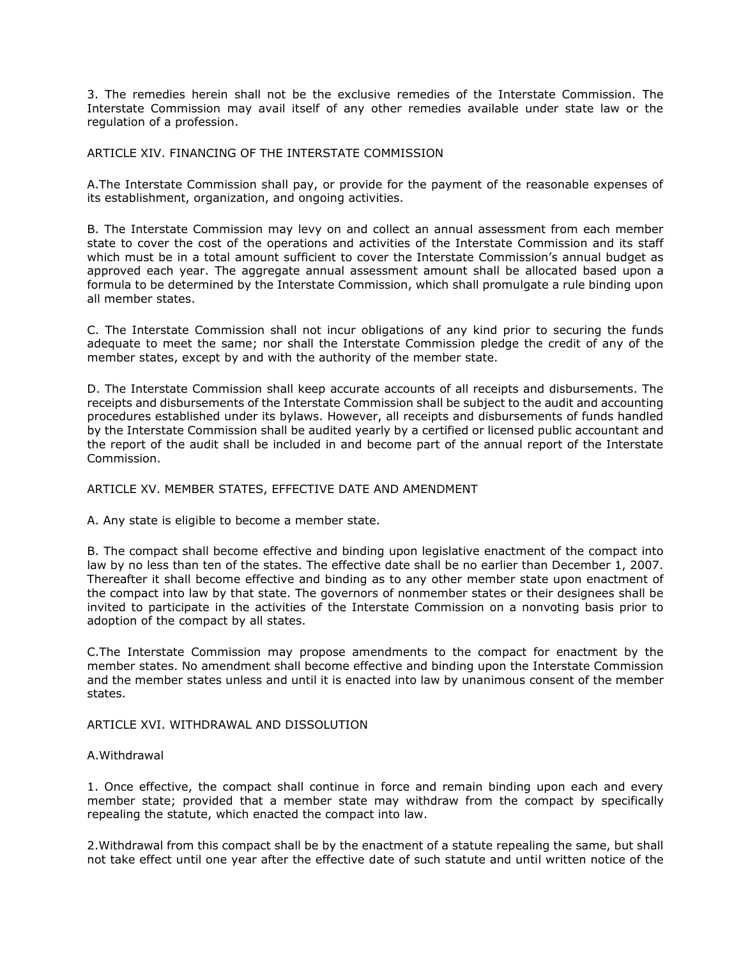3. The remedies herein shall not be the exclusive remedies of the Interstate Commission. The Interstate Commission may avail itself of any other remedies available under state law or the regulation of a profession.

## ARTICLE XIV. FINANCING OF THE INTERSTATE COMMISSION

A.The Interstate Commission shall pay, or provide for the payment of the reasonable expenses of its establishment, organization, and ongoing activities.

B. The Interstate Commission may levy on and collect an annual assessment from each member state to cover the cost of the operations and activities of the Interstate Commission and its staff which must be in a total amount sufficient to cover the Interstate Commission's annual budget as approved each year. The aggregate annual assessment amount shall be allocated based upon a formula to be determined by the Interstate Commission, which shall promulgate a rule binding upon all member states.

C. The Interstate Commission shall not incur obligations of any kind prior to securing the funds adequate to meet the same; nor shall the Interstate Commission pledge the credit of any of the member states, except by and with the authority of the member state.

D. The Interstate Commission shall keep accurate accounts of all receipts and disbursements. The receipts and disbursements of the Interstate Commission shall be subject to the audit and accounting procedures established under its bylaws. However, all receipts and disbursements of funds handled by the Interstate Commission shall be audited yearly by a certified or licensed public accountant and the report of the audit shall be included in and become part of the annual report of the Interstate Commission.

#### ARTICLE XV. MEMBER STATES, EFFECTIVE DATE AND AMENDMENT

A. Any state is eligible to become a member state.

B. The compact shall become effective and binding upon legislative enactment of the compact into law by no less than ten of the states. The effective date shall be no earlier than December 1, 2007. Thereafter it shall become effective and binding as to any other member state upon enactment of the compact into law by that state. The governors of nonmember states or their designees shall be invited to participate in the activities of the Interstate Commission on a nonvoting basis prior to adoption of the compact by all states.

C.The Interstate Commission may propose amendments to the compact for enactment by the member states. No amendment shall become effective and binding upon the Interstate Commission and the member states unless and until it is enacted into law by unanimous consent of the member states.

ARTICLE XVI. WITHDRAWAL AND DISSOLUTION

#### A.Withdrawal

1. Once effective, the compact shall continue in force and remain binding upon each and every member state; provided that a member state may withdraw from the compact by specifically repealing the statute, which enacted the compact into law.

2.Withdrawal from this compact shall be by the enactment of a statute repealing the same, but shall not take effect until one year after the effective date of such statute and until written notice of the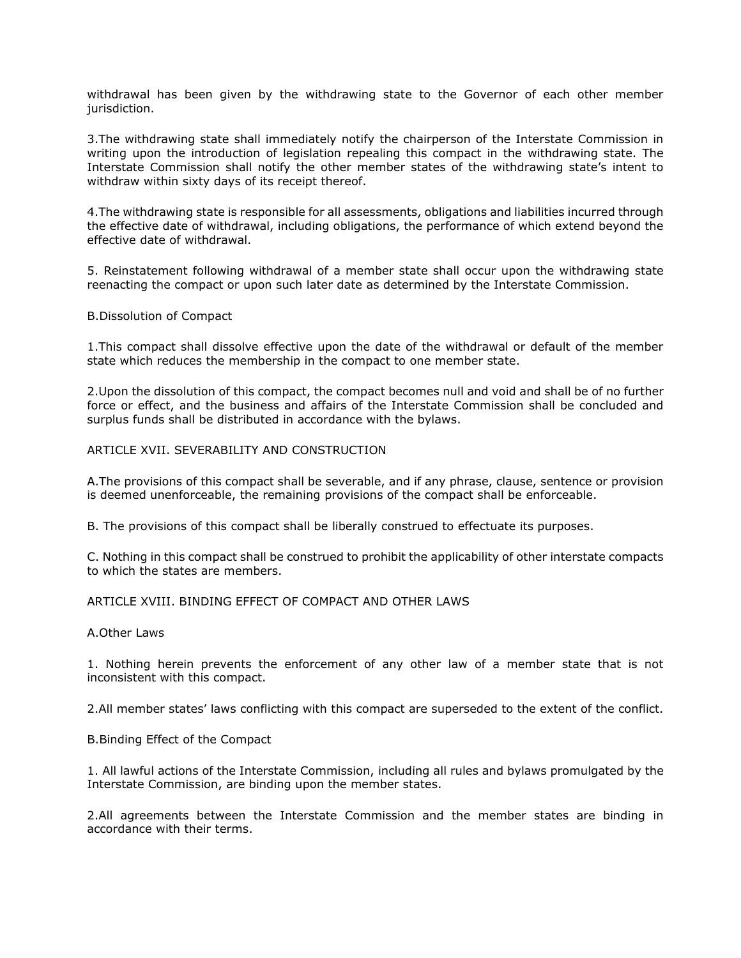withdrawal has been given by the withdrawing state to the Governor of each other member jurisdiction.

3.The withdrawing state shall immediately notify the chairperson of the Interstate Commission in writing upon the introduction of legislation repealing this compact in the withdrawing state. The Interstate Commission shall notify the other member states of the withdrawing state's intent to withdraw within sixty days of its receipt thereof.

4.The withdrawing state is responsible for all assessments, obligations and liabilities incurred through the effective date of withdrawal, including obligations, the performance of which extend beyond the effective date of withdrawal.

5. Reinstatement following withdrawal of a member state shall occur upon the withdrawing state reenacting the compact or upon such later date as determined by the Interstate Commission.

B.Dissolution of Compact

1.This compact shall dissolve effective upon the date of the withdrawal or default of the member state which reduces the membership in the compact to one member state.

2.Upon the dissolution of this compact, the compact becomes null and void and shall be of no further force or effect, and the business and affairs of the Interstate Commission shall be concluded and surplus funds shall be distributed in accordance with the bylaws.

#### ARTICLE XVII. SEVERABILITY AND CONSTRUCTION

A.The provisions of this compact shall be severable, and if any phrase, clause, sentence or provision is deemed unenforceable, the remaining provisions of the compact shall be enforceable.

B. The provisions of this compact shall be liberally construed to effectuate its purposes.

C. Nothing in this compact shall be construed to prohibit the applicability of other interstate compacts to which the states are members.

# ARTICLE XVIII. BINDING FFFECT OF COMPACT AND OTHER LAWS

A.Other Laws

1. Nothing herein prevents the enforcement of any other law of a member state that is not inconsistent with this compact.

2.All member states' laws conflicting with this compact are superseded to the extent of the conflict.

B.Binding Effect of the Compact

1. All lawful actions of the Interstate Commission, including all rules and bylaws promulgated by the Interstate Commission, are binding upon the member states.

2.All agreements between the Interstate Commission and the member states are binding in accordance with their terms.